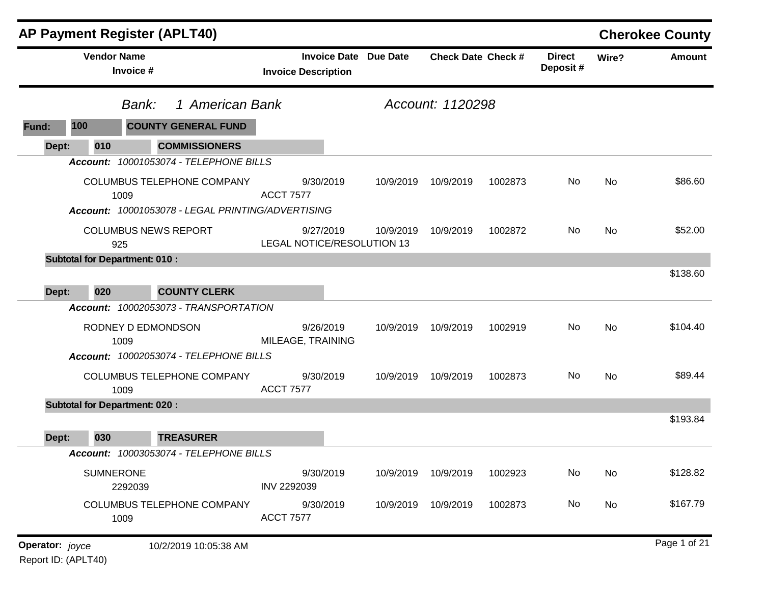|                 | <b>AP Payment Register (APLT40)</b>  |                                                   |                                                   |                                         |                           |         |                           |           | <b>Cherokee County</b> |
|-----------------|--------------------------------------|---------------------------------------------------|---------------------------------------------------|-----------------------------------------|---------------------------|---------|---------------------------|-----------|------------------------|
|                 | <b>Vendor Name</b><br>Invoice #      |                                                   | <b>Invoice Date</b><br><b>Invoice Description</b> | <b>Due Date</b>                         | <b>Check Date Check #</b> |         | <b>Direct</b><br>Deposit# | Wire?     | <b>Amount</b>          |
|                 | Bank:                                | 1 American Bank                                   |                                                   |                                         | Account: 1120298          |         |                           |           |                        |
| Fund:           | 100                                  | <b>COUNTY GENERAL FUND</b>                        |                                                   |                                         |                           |         |                           |           |                        |
| Dept:           | 010                                  | <b>COMMISSIONERS</b>                              |                                                   |                                         |                           |         |                           |           |                        |
|                 |                                      | Account: 10001053074 - TELEPHONE BILLS            |                                                   |                                         |                           |         |                           |           |                        |
|                 | 1009                                 | COLUMBUS TELEPHONE COMPANY                        | 9/30/2019<br><b>ACCT 7577</b>                     | 10/9/2019                               | 10/9/2019                 | 1002873 | No                        | No        | \$86.60                |
|                 |                                      | Account: 10001053078 - LEGAL PRINTING/ADVERTISING |                                                   |                                         |                           |         |                           |           |                        |
|                 | <b>COLUMBUS NEWS REPORT</b><br>925   |                                                   | 9/27/2019                                         | 10/9/2019<br>LEGAL NOTICE/RESOLUTION 13 | 10/9/2019                 | 1002872 | No                        | <b>No</b> | \$52.00                |
|                 | <b>Subtotal for Department: 010:</b> |                                                   |                                                   |                                         |                           |         |                           |           |                        |
| Dept:           | 020                                  | <b>COUNTY CLERK</b>                               |                                                   |                                         |                           |         |                           |           | \$138.60               |
|                 |                                      | Account: 10002053073 - TRANSPORTATION             |                                                   |                                         |                           |         |                           |           |                        |
|                 | RODNEY D EDMONDSON<br>1009           |                                                   | 9/26/2019<br>MILEAGE, TRAINING                    | 10/9/2019                               | 10/9/2019                 | 1002919 | No                        | No        | \$104.40               |
|                 |                                      | Account: 10002053074 - TELEPHONE BILLS            |                                                   |                                         |                           |         |                           |           |                        |
|                 | 1009                                 | COLUMBUS TELEPHONE COMPANY                        | 9/30/2019<br><b>ACCT 7577</b>                     | 10/9/2019                               | 10/9/2019                 | 1002873 | No                        | <b>No</b> | \$89.44                |
|                 | <b>Subtotal for Department: 020:</b> |                                                   |                                                   |                                         |                           |         |                           |           |                        |
| Dept:           | 030                                  | <b>TREASURER</b>                                  |                                                   |                                         |                           |         |                           |           | \$193.84               |
|                 |                                      | Account: 10003053074 - TELEPHONE BILLS            |                                                   |                                         |                           |         |                           |           |                        |
|                 | <b>SUMNERONE</b><br>2292039          |                                                   | 9/30/2019<br>INV 2292039                          | 10/9/2019                               | 10/9/2019                 | 1002923 | No                        | No        | \$128.82               |
|                 | 1009                                 | COLUMBUS TELEPHONE COMPANY                        | 9/30/2019<br><b>ACCT 7577</b>                     | 10/9/2019                               | 10/9/2019                 | 1002873 | No                        | No        | \$167.79               |
| Operator: joyce |                                      | 10/2/2019 10:05:38 AM                             |                                                   |                                         |                           |         |                           |           | Page 1 of 21           |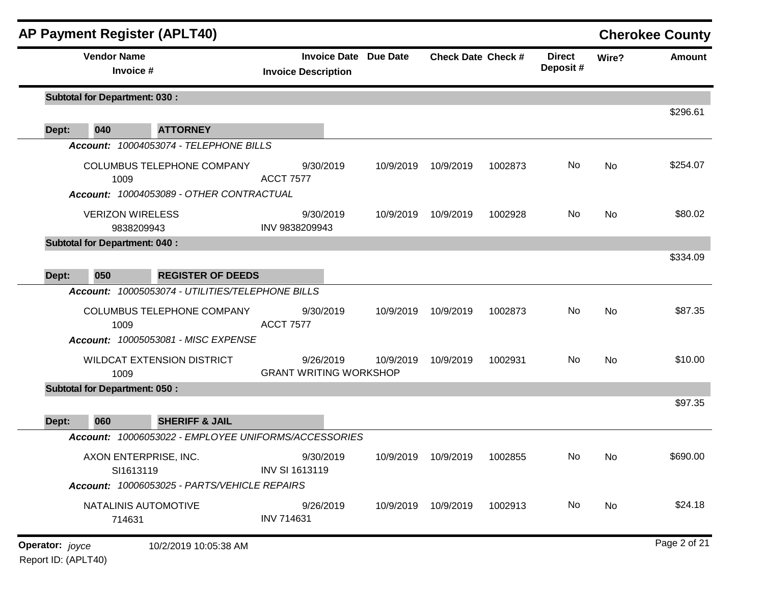| <b>AP Payment Register (APLT40)</b>  |                                                                              |                                                            |           |                               |         |                           |           | <b>Cherokee County</b> |
|--------------------------------------|------------------------------------------------------------------------------|------------------------------------------------------------|-----------|-------------------------------|---------|---------------------------|-----------|------------------------|
| <b>Vendor Name</b><br>Invoice #      |                                                                              | <b>Invoice Date Due Date</b><br><b>Invoice Description</b> |           | <b>Check Date Check #</b>     |         | <b>Direct</b><br>Deposit# | Wire?     | <b>Amount</b>          |
| <b>Subtotal for Department: 030:</b> |                                                                              |                                                            |           |                               |         |                           |           |                        |
| 040<br>Dept:                         | <b>ATTORNEY</b>                                                              |                                                            |           |                               |         |                           |           | \$296.61               |
|                                      | Account: 10004053074 - TELEPHONE BILLS                                       |                                                            |           |                               |         |                           |           |                        |
| 1009                                 | <b>COLUMBUS TELEPHONE COMPANY</b>                                            | 9/30/2019<br><b>ACCT 7577</b>                              | 10/9/2019 | 10/9/2019                     | 1002873 | No                        | No        | \$254.07               |
|                                      | Account: 10004053089 - OTHER CONTRACTUAL                                     |                                                            |           |                               |         |                           |           |                        |
| <b>VERIZON WIRELESS</b>              | 9838209943                                                                   | 9/30/2019<br>INV 9838209943                                | 10/9/2019 | 10/9/2019                     | 1002928 | No                        | <b>No</b> | \$80.02                |
| <b>Subtotal for Department: 040:</b> |                                                                              |                                                            |           |                               |         |                           |           |                        |
|                                      |                                                                              |                                                            |           |                               |         |                           |           | \$334.09               |
| Dept:<br>050                         | <b>REGISTER OF DEEDS</b><br>Account: 10005053074 - UTILITIES/TELEPHONE BILLS |                                                            |           |                               |         |                           |           |                        |
| 1009                                 | COLUMBUS TELEPHONE COMPANY                                                   | 9/30/2019<br><b>ACCT 7577</b>                              | 10/9/2019 | 10/9/2019                     | 1002873 | No                        | No        | \$87.35                |
|                                      | Account: 10005053081 - MISC EXPENSE                                          |                                                            |           |                               |         |                           |           |                        |
| 1009                                 | <b>WILDCAT EXTENSION DISTRICT</b>                                            | 9/26/2019<br><b>GRANT WRITING WORKSHOP</b>                 | 10/9/2019 | 10/9/2019                     | 1002931 | No                        | No        | \$10.00                |
| <b>Subtotal for Department: 050:</b> |                                                                              |                                                            |           |                               |         |                           |           |                        |
|                                      |                                                                              |                                                            |           |                               |         |                           |           | \$97.35                |
| 060<br>Dept:                         | <b>SHERIFF &amp; JAIL</b>                                                    |                                                            |           |                               |         |                           |           |                        |
|                                      | Account: 10006053022 - EMPLOYEE UNIFORMS/ACCESSORIES                         |                                                            |           |                               |         |                           |           |                        |
| SI1613119                            | AXON ENTERPRISE, INC.                                                        | 9/30/2019<br><b>INV SI 1613119</b>                         |           | 10/9/2019  10/9/2019  1002855 |         | No No                     |           | \$690.00               |
|                                      | Account: 10006053025 - PARTS/VEHICLE REPAIRS                                 |                                                            |           |                               |         |                           |           |                        |
| 714631                               | NATALINIS AUTOMOTIVE                                                         | 9/26/2019<br><b>INV 714631</b>                             |           | 10/9/2019 10/9/2019           | 1002913 | No                        | No        | \$24.18                |
| Operator: joyce                      | 10/2/2019 10:05:38 AM                                                        |                                                            |           |                               |         |                           |           | Page 2 of 21           |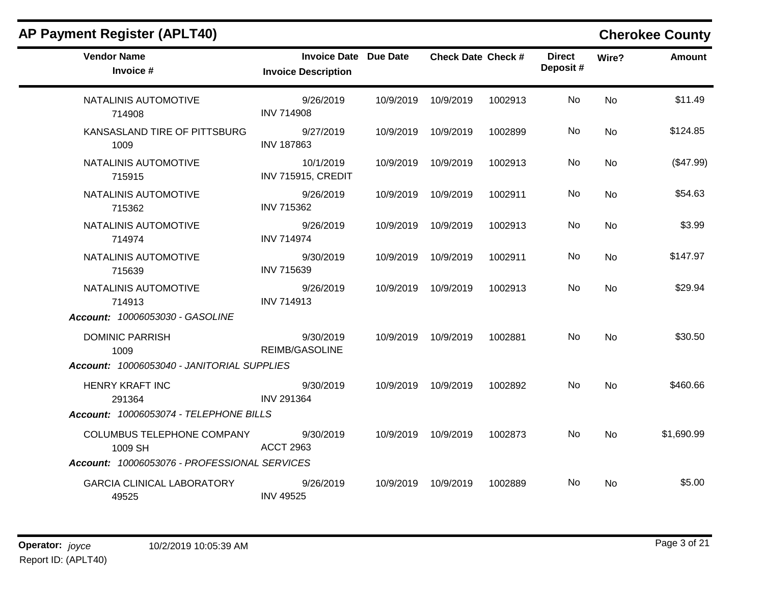| <b>AP Payment Register (APLT40)</b>          |                                                            |           |                           |         |                           |           | <b>Cherokee County</b> |
|----------------------------------------------|------------------------------------------------------------|-----------|---------------------------|---------|---------------------------|-----------|------------------------|
| <b>Vendor Name</b><br>Invoice #              | <b>Invoice Date Due Date</b><br><b>Invoice Description</b> |           | <b>Check Date Check #</b> |         | <b>Direct</b><br>Deposit# | Wire?     | <b>Amount</b>          |
| NATALINIS AUTOMOTIVE<br>714908               | 9/26/2019<br><b>INV 714908</b>                             | 10/9/2019 | 10/9/2019                 | 1002913 | No.                       | No        | \$11.49                |
| KANSASLAND TIRE OF PITTSBURG<br>1009         | 9/27/2019<br><b>INV 187863</b>                             | 10/9/2019 | 10/9/2019                 | 1002899 | No.                       | <b>No</b> | \$124.85               |
| NATALINIS AUTOMOTIVE<br>715915               | 10/1/2019<br><b>INV 715915, CREDIT</b>                     | 10/9/2019 | 10/9/2019                 | 1002913 | No.                       | <b>No</b> | (\$47.99)              |
| NATALINIS AUTOMOTIVE<br>715362               | 9/26/2019<br><b>INV 715362</b>                             |           | 10/9/2019 10/9/2019       | 1002911 | No.                       | <b>No</b> | \$54.63                |
| NATALINIS AUTOMOTIVE<br>714974               | 9/26/2019<br><b>INV 714974</b>                             | 10/9/2019 | 10/9/2019                 | 1002913 | No.                       | <b>No</b> | \$3.99                 |
| NATALINIS AUTOMOTIVE<br>715639               | 9/30/2019<br>INV 715639                                    | 10/9/2019 | 10/9/2019                 | 1002911 | No                        | <b>No</b> | \$147.97               |
| NATALINIS AUTOMOTIVE<br>714913               | 9/26/2019<br><b>INV 714913</b>                             | 10/9/2019 | 10/9/2019                 | 1002913 | No.                       | <b>No</b> | \$29.94                |
| Account: 10006053030 - GASOLINE              |                                                            |           |                           |         |                           |           |                        |
| <b>DOMINIC PARRISH</b><br>1009               | 9/30/2019<br><b>REIMB/GASOLINE</b>                         | 10/9/2019 | 10/9/2019                 | 1002881 | No.                       | <b>No</b> | \$30.50                |
| Account: 10006053040 - JANITORIAL SUPPLIES   |                                                            |           |                           |         |                           |           |                        |
| <b>HENRY KRAFT INC</b><br>291364             | 9/30/2019<br><b>INV 291364</b>                             |           | 10/9/2019 10/9/2019       | 1002892 | No.                       | <b>No</b> | \$460.66               |
| Account: 10006053074 - TELEPHONE BILLS       |                                                            |           |                           |         |                           |           |                        |
| COLUMBUS TELEPHONE COMPANY<br>1009 SH        | 9/30/2019<br><b>ACCT 2963</b>                              | 10/9/2019 | 10/9/2019                 | 1002873 | No.                       | <b>No</b> | \$1,690.99             |
| Account: 10006053076 - PROFESSIONAL SERVICES |                                                            |           |                           |         |                           |           |                        |
| <b>GARCIA CLINICAL LABORATORY</b><br>49525   | 9/26/2019<br><b>INV 49525</b>                              | 10/9/2019 | 10/9/2019                 | 1002889 | No.                       | No        | \$5.00                 |

### **Operator:** joyce 10/2/2019 10:05:39 AM **Page 3 of 21** Report ID: (APLT40)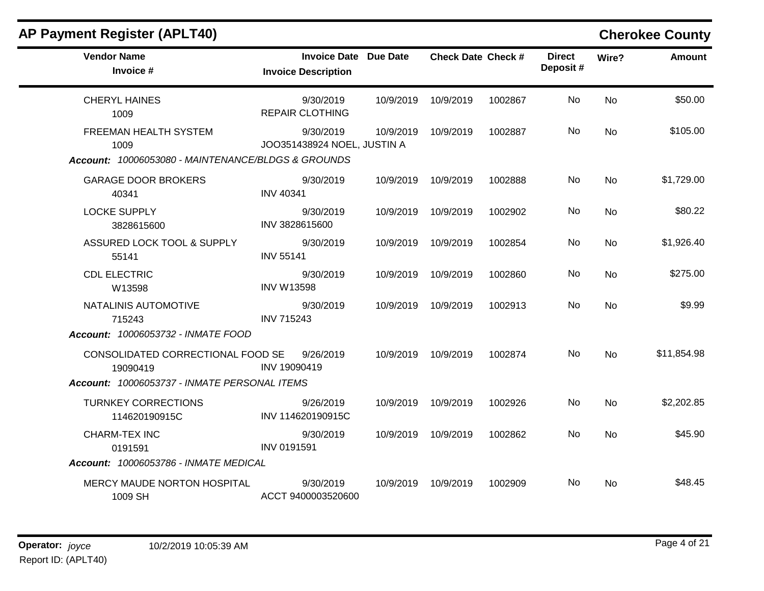| <b>AP Payment Register (APLT40)</b>                                                 |                                                            |           |                           |         |                           |           | <b>Cherokee County</b> |
|-------------------------------------------------------------------------------------|------------------------------------------------------------|-----------|---------------------------|---------|---------------------------|-----------|------------------------|
| <b>Vendor Name</b><br>Invoice #                                                     | <b>Invoice Date Due Date</b><br><b>Invoice Description</b> |           | <b>Check Date Check #</b> |         | <b>Direct</b><br>Deposit# | Wire?     | <b>Amount</b>          |
| <b>CHERYL HAINES</b><br>1009                                                        | 9/30/2019<br><b>REPAIR CLOTHING</b>                        | 10/9/2019 | 10/9/2019                 | 1002867 | No.                       | No        | \$50.00                |
| FREEMAN HEALTH SYSTEM<br>1009<br>Account: 10006053080 - MAINTENANCE/BLDGS & GROUNDS | 9/30/2019<br>JOO351438924 NOEL, JUSTIN A                   | 10/9/2019 | 10/9/2019                 | 1002887 | No.                       | No        | \$105.00               |
| <b>GARAGE DOOR BROKERS</b><br>40341                                                 | 9/30/2019<br><b>INV 40341</b>                              | 10/9/2019 | 10/9/2019                 | 1002888 | No                        | <b>No</b> | \$1,729.00             |
| <b>LOCKE SUPPLY</b><br>3828615600                                                   | 9/30/2019<br>INV 3828615600                                | 10/9/2019 | 10/9/2019                 | 1002902 | No.                       | No.       | \$80.22                |
| ASSURED LOCK TOOL & SUPPLY<br>55141                                                 | 9/30/2019<br><b>INV 55141</b>                              | 10/9/2019 | 10/9/2019                 | 1002854 | No                        | <b>No</b> | \$1,926.40             |
| <b>CDL ELECTRIC</b><br>W13598                                                       | 9/30/2019<br><b>INV W13598</b>                             | 10/9/2019 | 10/9/2019                 | 1002860 | No                        | <b>No</b> | \$275.00               |
| NATALINIS AUTOMOTIVE<br>715243                                                      | 9/30/2019<br><b>INV 715243</b>                             | 10/9/2019 | 10/9/2019                 | 1002913 | No.                       | <b>No</b> | \$9.99                 |
| Account: 10006053732 - INMATE FOOD                                                  |                                                            |           |                           |         |                           |           |                        |
| CONSOLIDATED CORRECTIONAL FOOD SE<br>19090419                                       | 9/26/2019<br>INV 19090419                                  | 10/9/2019 | 10/9/2019                 | 1002874 | No.                       | <b>No</b> | \$11,854.98            |
| Account: 10006053737 - INMATE PERSONAL ITEMS                                        |                                                            |           |                           |         |                           |           |                        |
| <b>TURNKEY CORRECTIONS</b><br>114620190915C                                         | 9/26/2019<br>INV 114620190915C                             | 10/9/2019 | 10/9/2019                 | 1002926 | No.                       | <b>No</b> | \$2,202.85             |
| <b>CHARM-TEX INC</b><br>0191591                                                     | 9/30/2019<br>INV 0191591                                   | 10/9/2019 | 10/9/2019                 | 1002862 | No.                       | <b>No</b> | \$45.90                |
| Account: 10006053786 - INMATE MEDICAL                                               |                                                            |           |                           |         |                           |           |                        |
| MERCY MAUDE NORTON HOSPITAL<br>1009 SH                                              | 9/30/2019<br>ACCT 9400003520600                            | 10/9/2019 | 10/9/2019                 | 1002909 | No                        | No.       | \$48.45                |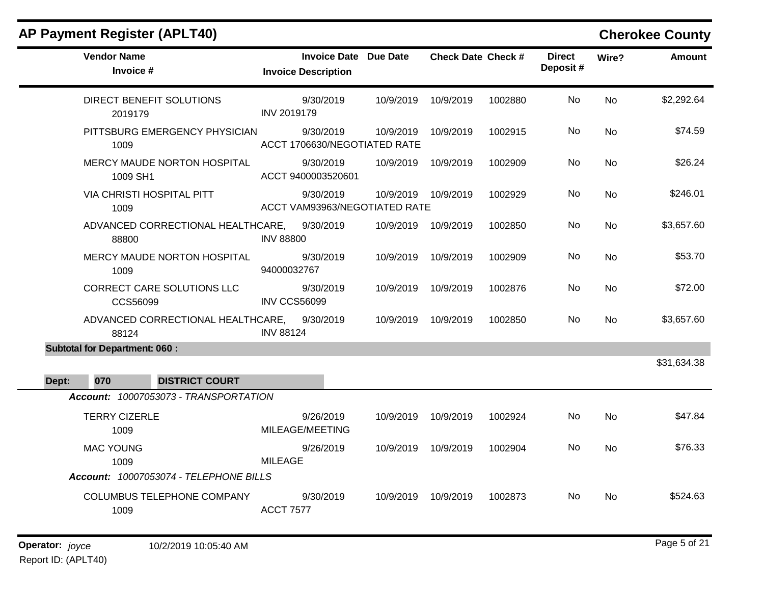# **AP Payment Register (APLT40) Cherokee County**

| <b>Vendor Name</b><br>Invoice #                      | <b>Invoice Date Due Date</b><br><b>Invoice Description</b> |                     | <b>Check Date Check #</b> |         | <b>Direct</b><br>Deposit# | Wire?     | <b>Amount</b> |
|------------------------------------------------------|------------------------------------------------------------|---------------------|---------------------------|---------|---------------------------|-----------|---------------|
| DIRECT BENEFIT SOLUTIONS<br>2019179                  | 9/30/2019<br><b>INV 2019179</b>                            | 10/9/2019           | 10/9/2019                 | 1002880 | No                        | <b>No</b> | \$2,292.64    |
| PITTSBURG EMERGENCY PHYSICIAN<br>1009                | 9/30/2019<br>ACCT 1706630/NEGOTIATED RATE                  | 10/9/2019           | 10/9/2019                 | 1002915 | No.                       | No        | \$74.59       |
| MERCY MAUDE NORTON HOSPITAL<br>1009 SH1              | 9/30/2019<br>ACCT 9400003520601                            | 10/9/2019           | 10/9/2019                 | 1002909 | No.                       | <b>No</b> | \$26.24       |
| VIA CHRISTI HOSPITAL PITT<br>1009                    | 9/30/2019<br>ACCT VAM93963/NEGOTIATED RATE                 | 10/9/2019 10/9/2019 |                           | 1002929 | No.                       | No        | \$246.01      |
| ADVANCED CORRECTIONAL HEALTHCARE, 9/30/2019<br>88800 | <b>INV 88800</b>                                           | 10/9/2019           | 10/9/2019                 | 1002850 | No                        | <b>No</b> | \$3,657.60    |
| MERCY MAUDE NORTON HOSPITAL<br>1009                  | 9/30/2019<br>94000032767                                   | 10/9/2019           | 10/9/2019                 | 1002909 | No                        | <b>No</b> | \$53.70       |
| CORRECT CARE SOLUTIONS LLC<br>CCS56099               | 9/30/2019<br><b>INV CCS56099</b>                           | 10/9/2019           | 10/9/2019                 | 1002876 | No                        | <b>No</b> | \$72.00       |
| ADVANCED CORRECTIONAL HEALTHCARE,<br>88124           | 9/30/2019<br><b>INV 88124</b>                              | 10/9/2019           | 10/9/2019                 | 1002850 | No.                       | No        | \$3,657.60    |
| <b>Subtotal for Department: 060:</b>                 |                                                            |                     |                           |         |                           |           |               |
| <b>DISTRICT COURT</b><br>070<br>Dept:                |                                                            |                     |                           |         |                           |           | \$31,634.38   |
| Account: 10007053073 - TRANSPORTATION                |                                                            |                     |                           |         |                           |           |               |
| <b>TERRY CIZERLE</b><br>1009                         | 9/26/2019<br>MILEAGE/MEETING                               | 10/9/2019           | 10/9/2019                 | 1002924 | No                        | <b>No</b> | \$47.84       |
| <b>MAC YOUNG</b><br>1009                             | 9/26/2019<br><b>MILEAGE</b>                                | 10/9/2019           | 10/9/2019                 | 1002904 | No.                       | No        | \$76.33       |
| Account: 10007053074 - TELEPHONE BILLS               |                                                            |                     |                           |         |                           |           |               |
| <b>COLUMBUS TELEPHONE COMPANY</b><br>1009            | 9/30/2019<br><b>ACCT 7577</b>                              | 10/9/2019           | 10/9/2019                 | 1002873 | No                        | No        | \$524.63      |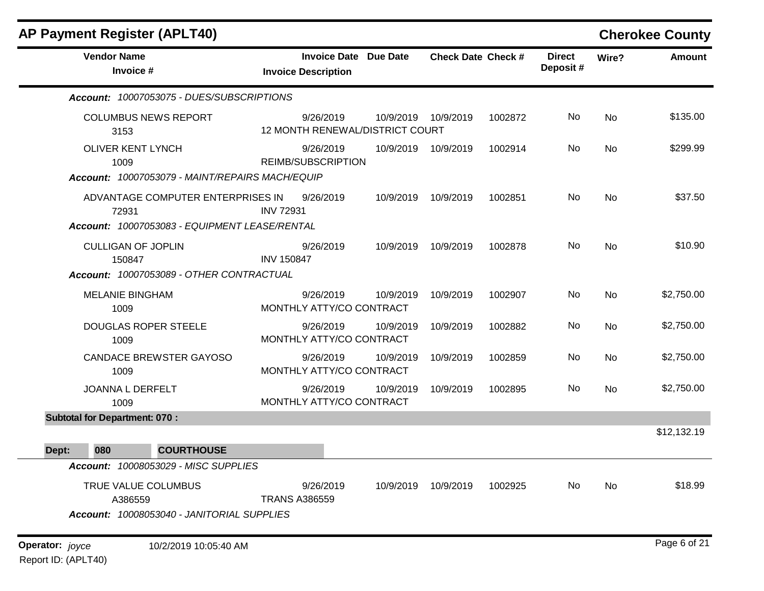| AP Payment Register (APLT40)                                                         |                                                            |           |                           |         |                           |           | <b>Cherokee County</b> |
|--------------------------------------------------------------------------------------|------------------------------------------------------------|-----------|---------------------------|---------|---------------------------|-----------|------------------------|
| <b>Vendor Name</b><br>Invoice #                                                      | <b>Invoice Date Due Date</b><br><b>Invoice Description</b> |           | <b>Check Date Check #</b> |         | <b>Direct</b><br>Deposit# | Wire?     | <b>Amount</b>          |
| Account: 10007053075 - DUES/SUBSCRIPTIONS                                            |                                                            |           |                           |         |                           |           |                        |
| <b>COLUMBUS NEWS REPORT</b><br>3153                                                  | 9/26/2019<br>12 MONTH RENEWAL/DISTRICT COURT               | 10/9/2019 | 10/9/2019                 | 1002872 | No                        | No        | \$135.00               |
| <b>OLIVER KENT LYNCH</b><br>1009<br>Account: 10007053079 - MAINT/REPAIRS MACH/EQUIP  | 9/26/2019<br>REIMB/SUBSCRIPTION                            |           | 10/9/2019 10/9/2019       | 1002914 | No                        | No        | \$299.99               |
| ADVANTAGE COMPUTER ENTERPRISES IN<br>72931                                           | 9/26/2019<br><b>INV 72931</b>                              | 10/9/2019 | 10/9/2019                 | 1002851 | No                        | <b>No</b> | \$37.50                |
| Account: 10007053083 - EQUIPMENT LEASE/RENTAL<br><b>CULLIGAN OF JOPLIN</b><br>150847 | 9/26/2019<br><b>INV 150847</b>                             | 10/9/2019 | 10/9/2019                 | 1002878 | No                        | <b>No</b> | \$10.90                |
| Account: 10007053089 - OTHER CONTRACTUAL                                             |                                                            |           |                           |         |                           |           |                        |
| <b>MELANIE BINGHAM</b><br>1009                                                       | 9/26/2019<br>MONTHLY ATTY/CO CONTRACT                      | 10/9/2019 | 10/9/2019                 | 1002907 | No                        | <b>No</b> | \$2,750.00             |
| <b>DOUGLAS ROPER STEELE</b><br>1009                                                  | 9/26/2019<br>MONTHLY ATTY/CO CONTRACT                      | 10/9/2019 | 10/9/2019                 | 1002882 | No                        | No        | \$2,750.00             |
| <b>CANDACE BREWSTER GAYOSO</b><br>1009                                               | 9/26/2019<br>MONTHLY ATTY/CO CONTRACT                      | 10/9/2019 | 10/9/2019                 | 1002859 | No                        | No        | \$2,750.00             |
| JOANNA L DERFELT<br>1009                                                             | 9/26/2019<br>MONTHLY ATTY/CO CONTRACT                      | 10/9/2019 | 10/9/2019                 | 1002895 | No                        | <b>No</b> | \$2,750.00             |
| <b>Subtotal for Department: 070:</b>                                                 |                                                            |           |                           |         |                           |           |                        |
|                                                                                      |                                                            |           |                           |         |                           |           | \$12,132.19            |
| <b>COURTHOUSE</b><br>080<br>Dept:<br>Account: 10008053029 - MISC SUPPLIES            |                                                            |           |                           |         |                           |           |                        |
| TRUE VALUE COLUMBUS<br>A386559<br>Account: 10008053040 - JANITORIAL SUPPLIES         | 9/26/2019<br><b>TRANS A386559</b>                          | 10/9/2019 | 10/9/2019                 | 1002925 | No                        | No        | \$18.99                |
| Operator: joyce<br>10/2/2019 10:05:40 AM                                             |                                                            |           |                           |         |                           |           | Page 6 of 21           |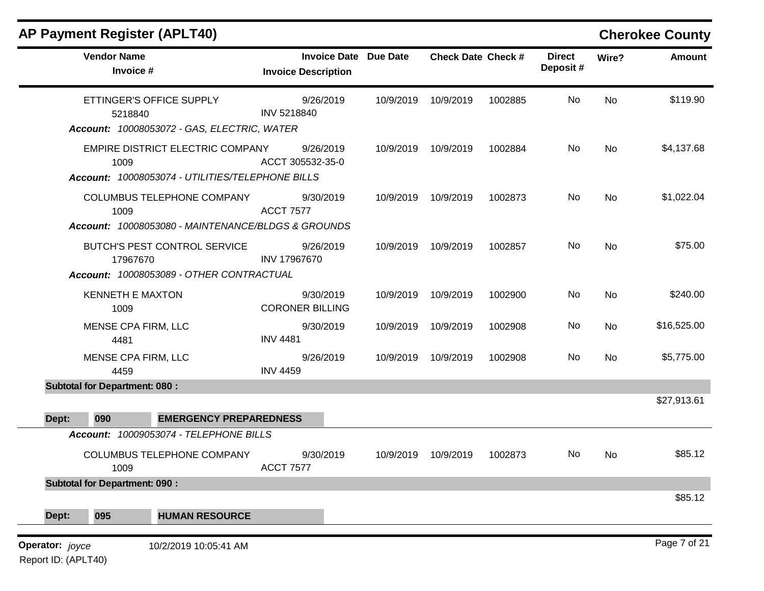| <b>Vendor Name</b><br>Invoice #<br>ETTINGER'S OFFICE SUPPLY<br>5218840<br>Account: 10008053072 - GAS, ELECTRIC, WATER<br>EMPIRE DISTRICT ELECTRIC COMPANY<br>1009<br>Account: 10008053074 - UTILITIES/TELEPHONE BILLS<br>COLUMBUS TELEPHONE COMPANY<br>1009<br>Account: 10008053080 - MAINTENANCE/BLDGS & GROUNDS<br>BUTCH'S PEST CONTROL SERVICE<br>17967670<br>Account: 10008053089 - OTHER CONTRACTUAL<br><b>KENNETH E MAXTON</b><br>1009 | <b>Invoice Date Due Date</b><br><b>Invoice Description</b><br>9/26/2019<br>INV 5218840<br>9/26/2019<br>ACCT 305532-35-0<br>9/30/2019<br><b>ACCT 7577</b><br>9/26/2019<br>INV 17967670<br>9/30/2019<br><b>CORONER BILLING</b> | 10/9/2019<br>10/9/2019<br>10/9/2019<br>10/9/2019<br>10/9/2019           | <b>Check Date Check #</b><br>10/9/2019<br>10/9/2019<br>10/9/2019<br>10/9/2019<br>10/9/2019 | 1002885<br>1002884<br>1002873<br>1002857<br>1002900 | <b>Direct</b><br>Deposit#<br>No<br>No<br>No<br>No<br>No | Wire?<br>No<br>No<br>No<br>No<br>No | Amount<br>\$119.90                              |
|----------------------------------------------------------------------------------------------------------------------------------------------------------------------------------------------------------------------------------------------------------------------------------------------------------------------------------------------------------------------------------------------------------------------------------------------|------------------------------------------------------------------------------------------------------------------------------------------------------------------------------------------------------------------------------|-------------------------------------------------------------------------|--------------------------------------------------------------------------------------------|-----------------------------------------------------|---------------------------------------------------------|-------------------------------------|-------------------------------------------------|
|                                                                                                                                                                                                                                                                                                                                                                                                                                              |                                                                                                                                                                                                                              |                                                                         |                                                                                            |                                                     |                                                         |                                     |                                                 |
|                                                                                                                                                                                                                                                                                                                                                                                                                                              |                                                                                                                                                                                                                              |                                                                         |                                                                                            |                                                     |                                                         |                                     | \$4,137.68<br>\$1,022.04<br>\$75.00<br>\$240.00 |
|                                                                                                                                                                                                                                                                                                                                                                                                                                              |                                                                                                                                                                                                                              |                                                                         |                                                                                            |                                                     |                                                         |                                     |                                                 |
|                                                                                                                                                                                                                                                                                                                                                                                                                                              |                                                                                                                                                                                                                              |                                                                         |                                                                                            |                                                     |                                                         |                                     |                                                 |
|                                                                                                                                                                                                                                                                                                                                                                                                                                              |                                                                                                                                                                                                                              |                                                                         |                                                                                            |                                                     |                                                         |                                     |                                                 |
|                                                                                                                                                                                                                                                                                                                                                                                                                                              |                                                                                                                                                                                                                              |                                                                         |                                                                                            |                                                     |                                                         |                                     |                                                 |
| MENSE CPA FIRM, LLC<br>4481                                                                                                                                                                                                                                                                                                                                                                                                                  | 9/30/2019<br><b>INV 4481</b>                                                                                                                                                                                                 | 10/9/2019                                                               | 10/9/2019                                                                                  | 1002908                                             | No                                                      | No                                  | \$16,525.00                                     |
| MENSE CPA FIRM, LLC<br>4459                                                                                                                                                                                                                                                                                                                                                                                                                  | 9/26/2019<br><b>INV 4459</b>                                                                                                                                                                                                 | 10/9/2019                                                               | 10/9/2019                                                                                  | 1002908                                             | No                                                      | No                                  | \$5,775.00                                      |
| <b>Subtotal for Department: 080:</b>                                                                                                                                                                                                                                                                                                                                                                                                         |                                                                                                                                                                                                                              |                                                                         |                                                                                            |                                                     |                                                         |                                     |                                                 |
|                                                                                                                                                                                                                                                                                                                                                                                                                                              |                                                                                                                                                                                                                              |                                                                         |                                                                                            |                                                     |                                                         |                                     | \$27,913.61                                     |
|                                                                                                                                                                                                                                                                                                                                                                                                                                              |                                                                                                                                                                                                                              |                                                                         |                                                                                            |                                                     |                                                         |                                     |                                                 |
|                                                                                                                                                                                                                                                                                                                                                                                                                                              | 9/30/2019<br><b>ACCT 7577</b>                                                                                                                                                                                                | 10/9/2019                                                               | 10/9/2019                                                                                  | 1002873                                             | No                                                      | No                                  | \$85.12                                         |
|                                                                                                                                                                                                                                                                                                                                                                                                                                              |                                                                                                                                                                                                                              |                                                                         |                                                                                            |                                                     |                                                         |                                     |                                                 |
| <b>HUMAN RESOURCE</b>                                                                                                                                                                                                                                                                                                                                                                                                                        |                                                                                                                                                                                                                              |                                                                         |                                                                                            |                                                     |                                                         |                                     | \$85.12                                         |
|                                                                                                                                                                                                                                                                                                                                                                                                                                              | COLUMBUS TELEPHONE COMPANY<br>1009<br><b>Subtotal for Department: 090:</b>                                                                                                                                                   | <b>EMERGENCY PREPAREDNESS</b><br>Account: 10009053074 - TELEPHONE BILLS |                                                                                            |                                                     |                                                         |                                     |                                                 |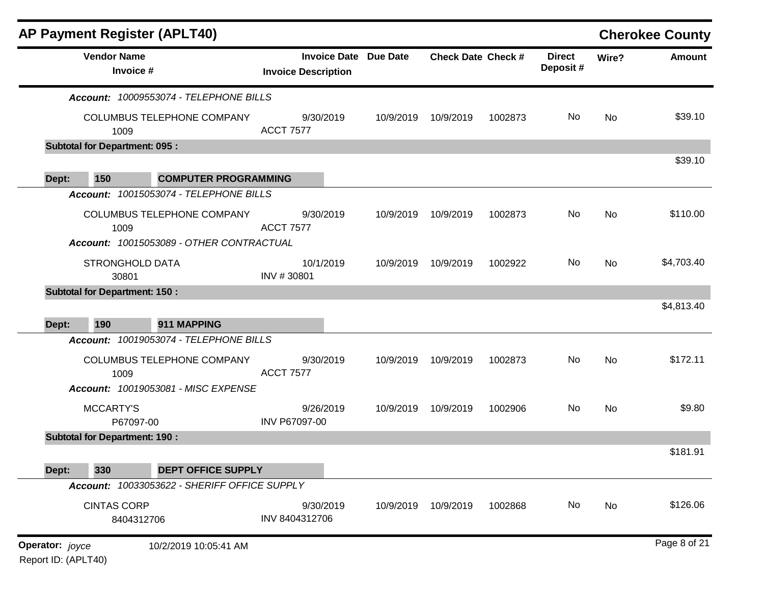|                        |                                      | <b>AP Payment Register (APLT40)</b>                                    |                               |                              |                           |         |                           |       | <b>Cherokee County</b> |
|------------------------|--------------------------------------|------------------------------------------------------------------------|-------------------------------|------------------------------|---------------------------|---------|---------------------------|-------|------------------------|
|                        | <b>Vendor Name</b><br>Invoice #      |                                                                        | <b>Invoice Description</b>    | <b>Invoice Date Due Date</b> | <b>Check Date Check #</b> |         | <b>Direct</b><br>Deposit# | Wire? | <b>Amount</b>          |
|                        |                                      | Account: 10009553074 - TELEPHONE BILLS                                 |                               |                              |                           |         |                           |       |                        |
|                        | 1009                                 | COLUMBUS TELEPHONE COMPANY                                             | 9/30/2019<br><b>ACCT 7577</b> | 10/9/2019                    | 10/9/2019                 | 1002873 | No                        | No    | \$39.10                |
|                        | <b>Subtotal for Department: 095:</b> |                                                                        |                               |                              |                           |         |                           |       |                        |
| Dept:                  | 150                                  | <b>COMPUTER PROGRAMMING</b>                                            |                               |                              |                           |         |                           |       | \$39.10                |
|                        |                                      | Account: 10015053074 - TELEPHONE BILLS                                 |                               |                              |                           |         |                           |       |                        |
|                        | 1009                                 | COLUMBUS TELEPHONE COMPANY<br>Account: 10015053089 - OTHER CONTRACTUAL | 9/30/2019<br><b>ACCT 7577</b> | 10/9/2019                    | 10/9/2019                 | 1002873 | No                        | No    | \$110.00               |
|                        | <b>STRONGHOLD DATA</b><br>30801      |                                                                        | 10/1/2019<br>INV #30801       | 10/9/2019                    | 10/9/2019                 | 1002922 | No                        | No    | \$4,703.40             |
|                        | <b>Subtotal for Department: 150:</b> |                                                                        |                               |                              |                           |         |                           |       |                        |
| Dept:                  | 190                                  | 911 MAPPING                                                            |                               |                              |                           |         |                           |       | \$4,813.40             |
|                        |                                      | Account: 10019053074 - TELEPHONE BILLS                                 |                               |                              |                           |         |                           |       |                        |
|                        | 1009                                 | COLUMBUS TELEPHONE COMPANY                                             | 9/30/2019<br><b>ACCT 7577</b> | 10/9/2019                    | 10/9/2019                 | 1002873 | No                        | No    | \$172.11               |
|                        |                                      | Account: 10019053081 - MISC EXPENSE                                    |                               |                              |                           |         |                           |       |                        |
|                        | <b>MCCARTY'S</b><br>P67097-00        |                                                                        | 9/26/2019<br>INV P67097-00    | 10/9/2019                    | 10/9/2019                 | 1002906 | No                        | No    | \$9.80                 |
|                        | <b>Subtotal for Department: 190:</b> |                                                                        |                               |                              |                           |         |                           |       |                        |
| Dept:                  | 330                                  | <b>DEPT OFFICE SUPPLY</b>                                              |                               |                              |                           |         |                           |       | \$181.91               |
|                        |                                      | Account: 10033053622 - SHERIFF OFFICE SUPPLY                           |                               |                              |                           |         |                           |       |                        |
|                        | <b>CINTAS CORP</b><br>8404312706     |                                                                        | 9/30/2019<br>INV 8404312706   | 10/9/2019                    | 10/9/2019                 | 1002868 | No                        | No    | \$126.06               |
| <b>Operator:</b> joyce |                                      | 10/2/2019 10:05:41 AM                                                  |                               |                              |                           |         |                           |       | Page 8 of 21           |

Report ID: (APLT40)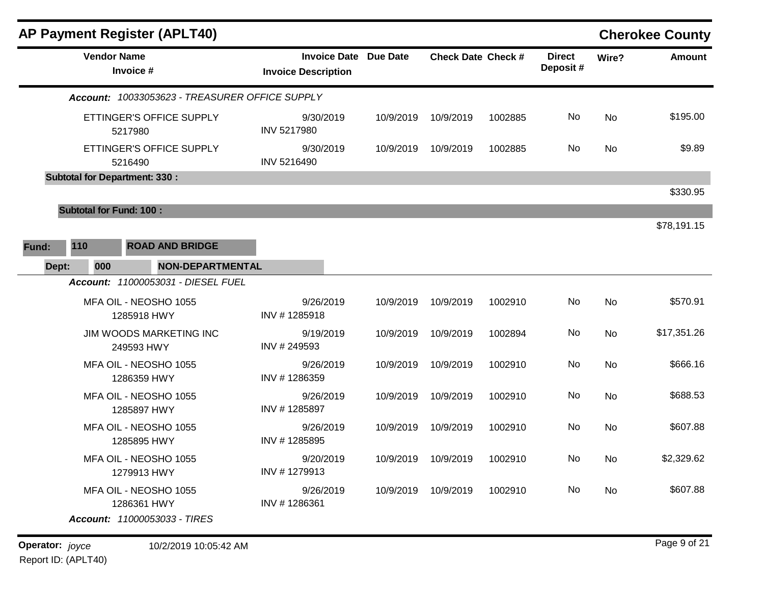|       |                                | <b>AP Payment Register (APLT40)</b>                                  |                                                            |           |                               |         |                           |           | <b>Cherokee County</b> |
|-------|--------------------------------|----------------------------------------------------------------------|------------------------------------------------------------|-----------|-------------------------------|---------|---------------------------|-----------|------------------------|
|       | <b>Vendor Name</b>             | Invoice #                                                            | <b>Invoice Date Due Date</b><br><b>Invoice Description</b> |           | <b>Check Date Check #</b>     |         | <b>Direct</b><br>Deposit# | Wire?     | <b>Amount</b>          |
|       |                                | Account: 10033053623 - TREASURER OFFICE SUPPLY                       |                                                            |           |                               |         |                           |           |                        |
|       |                                | ETTINGER'S OFFICE SUPPLY<br>5217980                                  | 9/30/2019<br>INV 5217980                                   | 10/9/2019 | 10/9/2019                     | 1002885 | No                        | No        | \$195.00               |
|       |                                | ETTINGER'S OFFICE SUPPLY<br>5216490                                  | 9/30/2019<br>INV 5216490                                   | 10/9/2019 | 10/9/2019                     | 1002885 | No                        | <b>No</b> | \$9.89                 |
|       |                                | <b>Subtotal for Department: 330:</b>                                 |                                                            |           |                               |         |                           |           |                        |
|       |                                |                                                                      |                                                            |           |                               |         |                           |           | \$330.95               |
|       | <b>Subtotal for Fund: 100:</b> |                                                                      |                                                            |           |                               |         |                           |           | \$78,191.15            |
| Fund: | 110                            | <b>ROAD AND BRIDGE</b>                                               |                                                            |           |                               |         |                           |           |                        |
| Dept: | 000                            | NON-DEPARTMENTAL                                                     |                                                            |           |                               |         |                           |           |                        |
|       |                                | <b>Account: 11000053031 - DIESEL FUEL</b>                            |                                                            |           |                               |         |                           |           |                        |
|       |                                | MFA OIL - NEOSHO 1055<br>1285918 HWY                                 | 9/26/2019<br>INV #1285918                                  | 10/9/2019 | 10/9/2019                     | 1002910 | No                        | No        | \$570.91               |
|       |                                | <b>JIM WOODS MARKETING INC</b><br>249593 HWY                         | 9/19/2019<br>INV #249593                                   | 10/9/2019 | 10/9/2019                     | 1002894 | No                        | <b>No</b> | \$17,351.26            |
|       |                                | MFA OIL - NEOSHO 1055<br>1286359 HWY                                 | 9/26/2019<br>INV #1286359                                  | 10/9/2019 | 10/9/2019                     | 1002910 | No                        | <b>No</b> | \$666.16               |
|       |                                | MFA OIL - NEOSHO 1055<br>1285897 HWY                                 | 9/26/2019<br>INV #1285897                                  | 10/9/2019 | 10/9/2019                     | 1002910 | No                        | No        | \$688.53               |
|       |                                | MFA OIL - NEOSHO 1055<br>1285895 HWY                                 | 9/26/2019<br>INV #1285895                                  | 10/9/2019 | 10/9/2019                     | 1002910 | No                        | <b>No</b> | \$607.88               |
|       |                                | MFA OIL - NEOSHO 1055<br>1279913 HWY                                 | 9/20/2019<br>INV #1279913                                  |           | 10/9/2019  10/9/2019  1002910 |         | No                        | No        | \$2,329.62             |
|       |                                | MFA OIL - NEOSHO 1055<br>1286361 HWY<br>Account: 11000053033 - TIRES | 9/26/2019<br>INV #1286361                                  |           | 10/9/2019 10/9/2019           | 1002910 | No                        | No        | \$607.88               |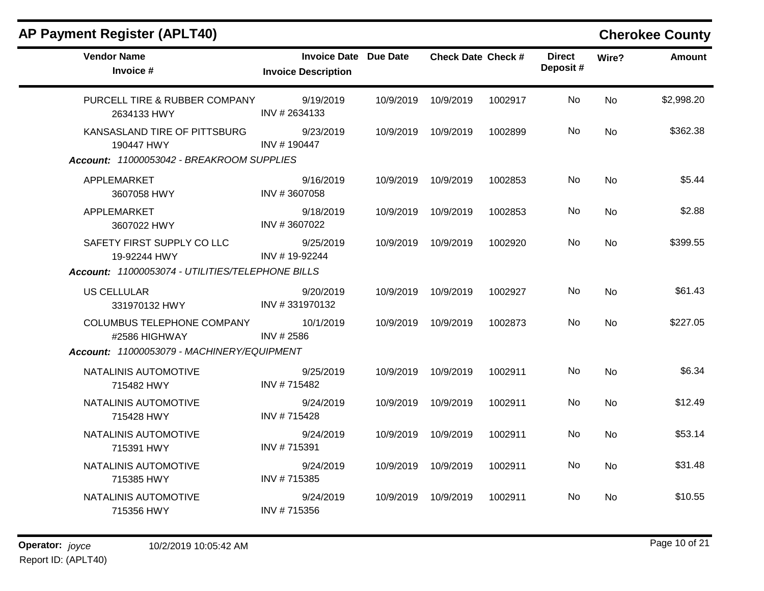| <b>AP Payment Register (APLT40)</b>                |                                                            |           |                           |         |                           |           | <b>Cherokee County</b> |
|----------------------------------------------------|------------------------------------------------------------|-----------|---------------------------|---------|---------------------------|-----------|------------------------|
| <b>Vendor Name</b><br>Invoice #                    | <b>Invoice Date Due Date</b><br><b>Invoice Description</b> |           | <b>Check Date Check #</b> |         | <b>Direct</b><br>Deposit# | Wire?     | <b>Amount</b>          |
| PURCELL TIRE & RUBBER COMPANY<br>2634133 HWY       | 9/19/2019<br>INV # 2634133                                 | 10/9/2019 | 10/9/2019                 | 1002917 | No.                       | <b>No</b> | \$2,998.20             |
| KANSASLAND TIRE OF PITTSBURG<br>190447 HWY         | 9/23/2019<br>INV #190447                                   | 10/9/2019 | 10/9/2019                 | 1002899 | No.                       | <b>No</b> | \$362.38               |
| Account: 11000053042 - BREAKROOM SUPPLIES          |                                                            |           |                           |         |                           |           |                        |
| APPLEMARKET<br>3607058 HWY                         | 9/16/2019<br>INV #3607058                                  |           | 10/9/2019 10/9/2019       | 1002853 | No                        | No        | \$5.44                 |
| APPLEMARKET<br>3607022 HWY                         | 9/18/2019<br>INV #3607022                                  | 10/9/2019 | 10/9/2019                 | 1002853 | <b>No</b>                 | No        | \$2.88                 |
| SAFETY FIRST SUPPLY CO LLC<br>19-92244 HWY         | 9/25/2019<br>INV #19-92244                                 | 10/9/2019 | 10/9/2019                 | 1002920 | No.                       | <b>No</b> | \$399.55               |
| Account: 11000053074 - UTILITIES/TELEPHONE BILLS   |                                                            |           |                           |         |                           |           |                        |
| <b>US CELLULAR</b><br>331970132 HWY                | 9/20/2019<br>INV #331970132                                | 10/9/2019 | 10/9/2019                 | 1002927 | <b>No</b>                 | <b>No</b> | \$61.43                |
| <b>COLUMBUS TELEPHONE COMPANY</b><br>#2586 HIGHWAY | 10/1/2019<br>INV # 2586                                    |           | 10/9/2019 10/9/2019       | 1002873 | No.                       | <b>No</b> | \$227.05               |
| Account: 11000053079 - MACHINERY/EQUIPMENT         |                                                            |           |                           |         |                           |           |                        |
| NATALINIS AUTOMOTIVE<br>715482 HWY                 | 9/25/2019<br>INV #715482                                   | 10/9/2019 | 10/9/2019                 | 1002911 | No                        | <b>No</b> | \$6.34                 |
| NATALINIS AUTOMOTIVE<br>715428 HWY                 | 9/24/2019<br>INV #715428                                   | 10/9/2019 | 10/9/2019                 | 1002911 | No.                       | <b>No</b> | \$12.49                |
| NATALINIS AUTOMOTIVE<br>715391 HWY                 | 9/24/2019<br>INV #715391                                   | 10/9/2019 | 10/9/2019                 | 1002911 | No.                       | <b>No</b> | \$53.14                |
| NATALINIS AUTOMOTIVE<br>715385 HWY                 | 9/24/2019<br>INV #715385                                   | 10/9/2019 | 10/9/2019                 | 1002911 | No.                       | No        | \$31.48                |
| NATALINIS AUTOMOTIVE<br>715356 HWY                 | 9/24/2019<br>INV #715356                                   | 10/9/2019 | 10/9/2019                 | 1002911 | No.                       | <b>No</b> | \$10.55                |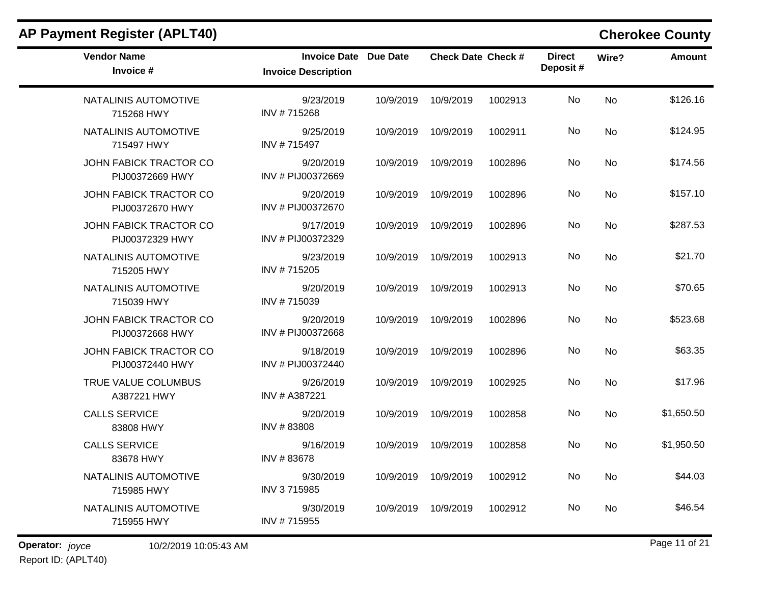| <b>Vendor Name</b><br>Invoice #           | <b>Invoice Date Due Date</b><br><b>Invoice Description</b> |           | <b>Check Date Check #</b> |         | <b>Direct</b><br>Deposit# | Wire?     | <b>Amount</b> |
|-------------------------------------------|------------------------------------------------------------|-----------|---------------------------|---------|---------------------------|-----------|---------------|
| NATALINIS AUTOMOTIVE<br>715268 HWY        | 9/23/2019<br>INV #715268                                   | 10/9/2019 | 10/9/2019                 | 1002913 | No                        | <b>No</b> | \$126.16      |
| NATALINIS AUTOMOTIVE<br>715497 HWY        | 9/25/2019<br>INV #715497                                   | 10/9/2019 | 10/9/2019                 | 1002911 | No                        | No        | \$124.95      |
| JOHN FABICK TRACTOR CO<br>PIJ00372669 HWY | 9/20/2019<br>INV # PIJ00372669                             | 10/9/2019 | 10/9/2019                 | 1002896 | No                        | <b>No</b> | \$174.56      |
| JOHN FABICK TRACTOR CO<br>PIJ00372670 HWY | 9/20/2019<br>INV # PIJ00372670                             | 10/9/2019 | 10/9/2019                 | 1002896 | No                        | <b>No</b> | \$157.10      |
| JOHN FABICK TRACTOR CO<br>PIJ00372329 HWY | 9/17/2019<br>INV # PIJ00372329                             | 10/9/2019 | 10/9/2019                 | 1002896 | No.                       | <b>No</b> | \$287.53      |
| NATALINIS AUTOMOTIVE<br>715205 HWY        | 9/23/2019<br>INV #715205                                   | 10/9/2019 | 10/9/2019                 | 1002913 | No                        | <b>No</b> | \$21.70       |
| NATALINIS AUTOMOTIVE<br>715039 HWY        | 9/20/2019<br>INV #715039                                   | 10/9/2019 | 10/9/2019                 | 1002913 | No                        | <b>No</b> | \$70.65       |
| JOHN FABICK TRACTOR CO<br>PIJ00372668 HWY | 9/20/2019<br>INV # PIJ00372668                             | 10/9/2019 | 10/9/2019                 | 1002896 | No                        | <b>No</b> | \$523.68      |
| JOHN FABICK TRACTOR CO<br>PIJ00372440 HWY | 9/18/2019<br>INV # PIJ00372440                             | 10/9/2019 | 10/9/2019                 | 1002896 | No                        | <b>No</b> | \$63.35       |
| TRUE VALUE COLUMBUS<br>A387221 HWY        | 9/26/2019<br>INV # A387221                                 | 10/9/2019 | 10/9/2019                 | 1002925 | No                        | <b>No</b> | \$17.96       |
| <b>CALLS SERVICE</b><br>83808 HWY         | 9/20/2019<br>INV #83808                                    | 10/9/2019 | 10/9/2019                 | 1002858 | No                        | <b>No</b> | \$1,650.50    |
| <b>CALLS SERVICE</b><br>83678 HWY         | 9/16/2019<br>INV #83678                                    | 10/9/2019 | 10/9/2019                 | 1002858 | No                        | <b>No</b> | \$1,950.50    |
| NATALINIS AUTOMOTIVE<br>715985 HWY        | 9/30/2019<br>INV 3715985                                   | 10/9/2019 | 10/9/2019                 | 1002912 | No.                       | <b>No</b> | \$44.03       |
| NATALINIS AUTOMOTIVE<br>715955 HWY        | 9/30/2019<br>INV #715955                                   | 10/9/2019 | 10/9/2019                 | 1002912 | No                        | <b>No</b> | \$46.54       |

## **AP Payment Register (APLT40) Cherokee County**

**Operator:** joyce 10/2/2019 10:05:43 AM **Page 11 of 21** 

Report ID: (APLT40)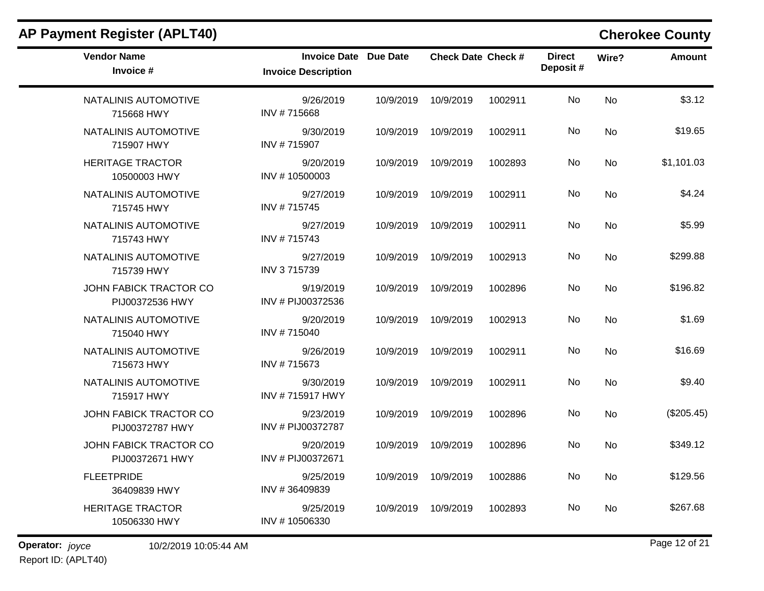| <b>AP Payment Register (APLT40)</b>       |                                                            |           |                           |         |                           |           | <b>Cherokee County</b> |
|-------------------------------------------|------------------------------------------------------------|-----------|---------------------------|---------|---------------------------|-----------|------------------------|
| <b>Vendor Name</b><br>Invoice #           | <b>Invoice Date Due Date</b><br><b>Invoice Description</b> |           | <b>Check Date Check #</b> |         | <b>Direct</b><br>Deposit# | Wire?     | <b>Amount</b>          |
| NATALINIS AUTOMOTIVE<br>715668 HWY        | 9/26/2019<br>INV #715668                                   | 10/9/2019 | 10/9/2019                 | 1002911 | No                        | No        | \$3.12                 |
| NATALINIS AUTOMOTIVE<br>715907 HWY        | 9/30/2019<br>INV #715907                                   | 10/9/2019 | 10/9/2019                 | 1002911 | No                        | <b>No</b> | \$19.65                |
| <b>HERITAGE TRACTOR</b><br>10500003 HWY   | 9/20/2019<br>INV #10500003                                 | 10/9/2019 | 10/9/2019                 | 1002893 | No                        | No        | \$1,101.03             |
| NATALINIS AUTOMOTIVE<br>715745 HWY        | 9/27/2019<br>INV #715745                                   | 10/9/2019 | 10/9/2019                 | 1002911 | No                        | No        | \$4.24                 |
| NATALINIS AUTOMOTIVE<br>715743 HWY        | 9/27/2019<br>INV #715743                                   | 10/9/2019 | 10/9/2019                 | 1002911 | No                        | No        | \$5.99                 |
| NATALINIS AUTOMOTIVE<br>715739 HWY        | 9/27/2019<br>INV 3715739                                   | 10/9/2019 | 10/9/2019                 | 1002913 | No                        | No        | \$299.88               |
| JOHN FABICK TRACTOR CO<br>PIJ00372536 HWY | 9/19/2019<br>INV # PIJ00372536                             | 10/9/2019 | 10/9/2019                 | 1002896 | No                        | No        | \$196.82               |
| NATALINIS AUTOMOTIVE<br>715040 HWY        | 9/20/2019<br>INV #715040                                   | 10/9/2019 | 10/9/2019                 | 1002913 | No                        | No        | \$1.69                 |
| NATALINIS AUTOMOTIVE<br>715673 HWY        | 9/26/2019<br>INV #715673                                   | 10/9/2019 | 10/9/2019                 | 1002911 | No                        | <b>No</b> | \$16.69                |
| NATALINIS AUTOMOTIVE<br>715917 HWY        | 9/30/2019<br>INV #715917 HWY                               | 10/9/2019 | 10/9/2019                 | 1002911 | No                        | No        | \$9.40                 |
| JOHN FABICK TRACTOR CO<br>PIJ00372787 HWY | 9/23/2019<br>INV # PIJ00372787                             | 10/9/2019 | 10/9/2019                 | 1002896 | No                        | No        | (\$205.45)             |
| JOHN FABICK TRACTOR CO<br>PIJ00372671 HWY | 9/20/2019<br>INV # PIJ00372671                             | 10/9/2019 | 10/9/2019                 | 1002896 | No                        | <b>No</b> | \$349.12               |
| <b>FLEETPRIDE</b><br>36409839 HWY         | 9/25/2019<br>INV #36409839                                 | 10/9/2019 | 10/9/2019                 | 1002886 | No                        | No        | \$129.56               |
| <b>HERITAGE TRACTOR</b><br>10506330 HWY   | 9/25/2019<br>INV #10506330                                 | 10/9/2019 | 10/9/2019                 | 1002893 | No                        | No        | \$267.68               |

**Operator:** joyce 10/2/2019 10:05:44 AM **Page 12 of 21 Page 12 of 21** Report ID: (APLT40)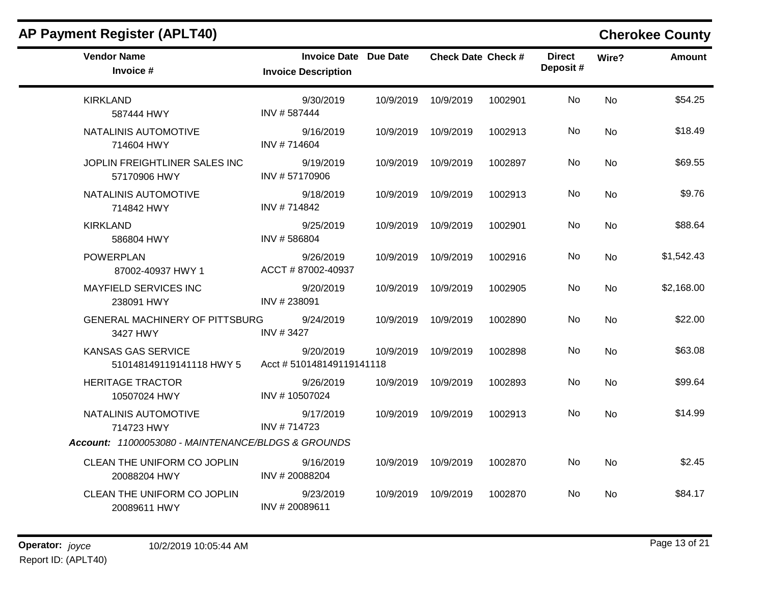| <b>Vendor Name</b><br>Invoice #                       | <b>Invoice Date Due Date</b><br><b>Invoice Description</b> |           | <b>Check Date Check #</b> |         | <b>Direct</b><br>Deposit# | Wire?          | <b>Amount</b> |
|-------------------------------------------------------|------------------------------------------------------------|-----------|---------------------------|---------|---------------------------|----------------|---------------|
| <b>KIRKLAND</b><br>587444 HWY                         | 9/30/2019<br>INV #587444                                   | 10/9/2019 | 10/9/2019                 | 1002901 | No                        | <b>No</b>      | \$54.25       |
| NATALINIS AUTOMOTIVE<br>714604 HWY                    | 9/16/2019<br>INV #714604                                   | 10/9/2019 | 10/9/2019                 | 1002913 | No.                       | <b>No</b>      | \$18.49       |
| JOPLIN FREIGHTLINER SALES INC<br>57170906 HWY         | 9/19/2019<br>INV #57170906                                 | 10/9/2019 | 10/9/2019                 | 1002897 | No                        | N <sub>o</sub> | \$69.55       |
| NATALINIS AUTOMOTIVE<br>714842 HWY                    | 9/18/2019<br>INV #714842                                   | 10/9/2019 | 10/9/2019                 | 1002913 | No.                       | No.            | \$9.76        |
| <b>KIRKLAND</b><br>586804 HWY                         | 9/25/2019<br>INV #586804                                   | 10/9/2019 | 10/9/2019                 | 1002901 | No                        | <b>No</b>      | \$88.64       |
| <b>POWERPLAN</b><br>87002-40937 HWY 1                 | 9/26/2019<br>ACCT #87002-40937                             |           | 10/9/2019 10/9/2019       | 1002916 | No                        | No.            | \$1,542.43    |
| <b>MAYFIELD SERVICES INC</b><br>238091 HWY            | 9/20/2019<br>INV #238091                                   | 10/9/2019 | 10/9/2019                 | 1002905 | No                        | <b>No</b>      | \$2,168.00    |
| <b>GENERAL MACHINERY OF PITTSBURG</b><br>3427 HWY     | 9/24/2019<br>INV #3427                                     | 10/9/2019 | 10/9/2019                 | 1002890 | No.                       | <b>No</b>      | \$22.00       |
| <b>KANSAS GAS SERVICE</b><br>510148149119141118 HWY 5 | 9/20/2019<br>Acct # 510148149119141118                     | 10/9/2019 | 10/9/2019                 | 1002898 | No.                       | <b>No</b>      | \$63.08       |
| <b>HERITAGE TRACTOR</b><br>10507024 HWY               | 9/26/2019<br>INV #10507024                                 | 10/9/2019 | 10/9/2019                 | 1002893 | No.                       | N <sub>o</sub> | \$99.64       |
| NATALINIS AUTOMOTIVE<br>714723 HWY                    | 9/17/2019<br>INV #714723                                   | 10/9/2019 | 10/9/2019                 | 1002913 | <b>No</b>                 | <b>No</b>      | \$14.99       |
| Account: 11000053080 - MAINTENANCE/BLDGS & GROUNDS    |                                                            |           |                           |         |                           |                |               |
| CLEAN THE UNIFORM CO JOPLIN<br>20088204 HWY           | 9/16/2019<br>INV #20088204                                 |           | 10/9/2019 10/9/2019       | 1002870 | No                        | <b>No</b>      | \$2.45        |
| CLEAN THE UNIFORM CO JOPLIN<br>20089611 HWY           | 9/23/2019<br>INV #20089611                                 |           | 10/9/2019 10/9/2019       | 1002870 | No.                       | No.            | \$84.17       |

## **AP Payment Register (APLT40) Cherokee County**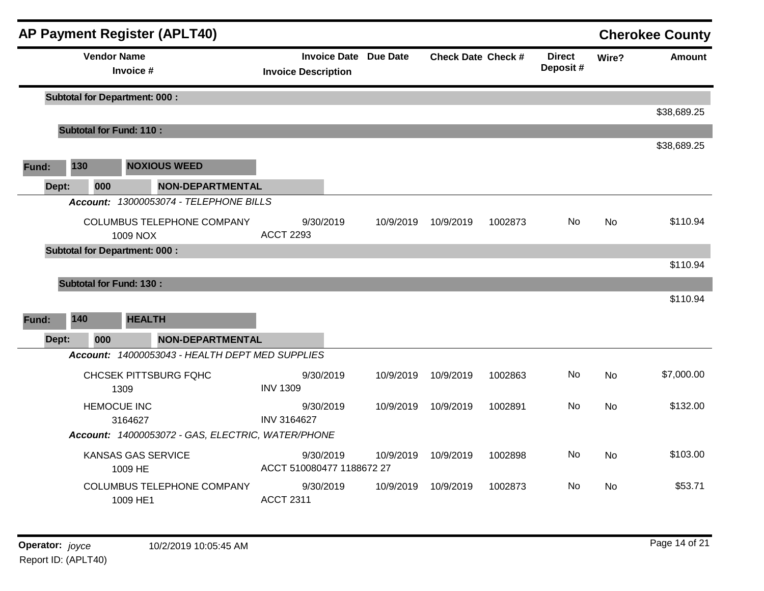|       |       |                    | <b>AP Payment Register (APLT40)</b>               |                                                            |           |                           |         |                           |           | <b>Cherokee County</b> |
|-------|-------|--------------------|---------------------------------------------------|------------------------------------------------------------|-----------|---------------------------|---------|---------------------------|-----------|------------------------|
|       |       | <b>Vendor Name</b> | Invoice #                                         | <b>Invoice Date Due Date</b><br><b>Invoice Description</b> |           | <b>Check Date Check #</b> |         | <b>Direct</b><br>Deposit# | Wire?     | <b>Amount</b>          |
|       |       |                    | <b>Subtotal for Department: 000:</b>              |                                                            |           |                           |         |                           |           |                        |
|       |       |                    |                                                   |                                                            |           |                           |         |                           |           | \$38,689.25            |
|       |       |                    | <b>Subtotal for Fund: 110:</b>                    |                                                            |           |                           |         |                           |           |                        |
|       |       |                    |                                                   |                                                            |           |                           |         |                           |           | \$38,689.25            |
| Fund: | 130   |                    | <b>NOXIOUS WEED</b>                               |                                                            |           |                           |         |                           |           |                        |
|       | Dept: | 000                | NON-DEPARTMENTAL                                  |                                                            |           |                           |         |                           |           |                        |
|       |       |                    | Account: 13000053074 - TELEPHONE BILLS            |                                                            |           |                           |         |                           |           |                        |
|       |       |                    | COLUMBUS TELEPHONE COMPANY                        | 9/30/2019                                                  | 10/9/2019 | 10/9/2019                 | 1002873 | No.                       | <b>No</b> | \$110.94               |
|       |       |                    | 1009 NOX                                          | <b>ACCT 2293</b>                                           |           |                           |         |                           |           |                        |
|       |       |                    | <b>Subtotal for Department: 000:</b>              |                                                            |           |                           |         |                           |           | \$110.94               |
|       |       |                    | <b>Subtotal for Fund: 130:</b>                    |                                                            |           |                           |         |                           |           |                        |
|       |       |                    |                                                   |                                                            |           |                           |         |                           |           | \$110.94               |
| Fund: | 140   |                    | <b>HEALTH</b>                                     |                                                            |           |                           |         |                           |           |                        |
|       | Dept: | 000                | <b>NON-DEPARTMENTAL</b>                           |                                                            |           |                           |         |                           |           |                        |
|       |       |                    | Account: 14000053043 - HEALTH DEPT MED SUPPLIES   |                                                            |           |                           |         |                           |           |                        |
|       |       |                    | <b>CHCSEK PITTSBURG FQHC</b>                      | 9/30/2019                                                  | 10/9/2019 | 10/9/2019                 | 1002863 | No.                       | <b>No</b> | \$7,000.00             |
|       |       |                    | 1309                                              | <b>INV 1309</b>                                            |           |                           |         |                           |           |                        |
|       |       |                    | <b>HEMOCUE INC</b>                                | 9/30/2019                                                  | 10/9/2019 | 10/9/2019                 | 1002891 | No                        | <b>No</b> | \$132.00               |
|       |       |                    | 3164627                                           | <b>INV 3164627</b>                                         |           |                           |         |                           |           |                        |
|       |       |                    | Account: 14000053072 - GAS, ELECTRIC, WATER/PHONE |                                                            |           |                           |         |                           |           |                        |
|       |       |                    | <b>KANSAS GAS SERVICE</b><br>1009 HE              | 9/30/2019<br>ACCT 510080477 1188672 27                     | 10/9/2019 | 10/9/2019                 | 1002898 | No                        | <b>No</b> | \$103.00               |
|       |       |                    | <b>COLUMBUS TELEPHONE COMPANY</b><br>1009 HE1     | 9/30/2019<br><b>ACCT 2311</b>                              | 10/9/2019 | 10/9/2019                 | 1002873 | No                        | No        | \$53.71                |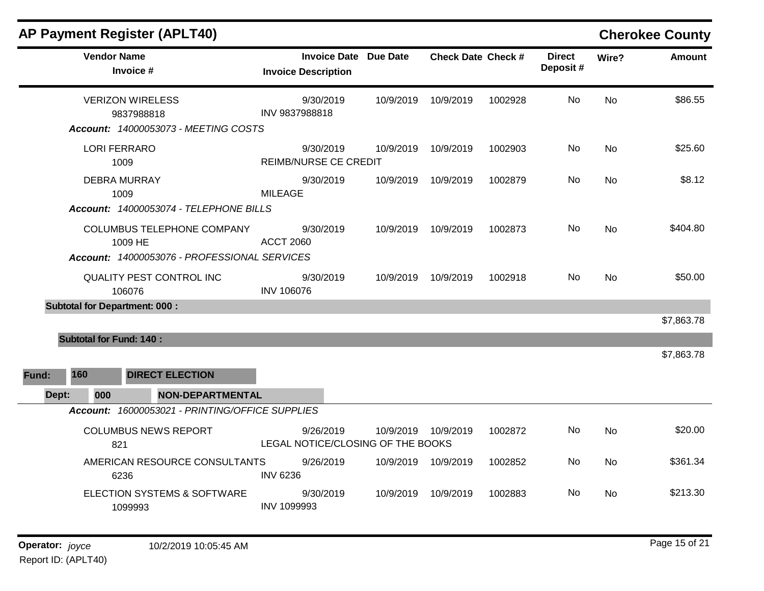| <b>AP Payment Register (APLT40)</b>                                                          |                                                            |           |                           |         |                           |           | <b>Cherokee County</b> |
|----------------------------------------------------------------------------------------------|------------------------------------------------------------|-----------|---------------------------|---------|---------------------------|-----------|------------------------|
| <b>Vendor Name</b><br>Invoice #                                                              | <b>Invoice Date Due Date</b><br><b>Invoice Description</b> |           | <b>Check Date Check #</b> |         | <b>Direct</b><br>Deposit# | Wire?     | <b>Amount</b>          |
| <b>VERIZON WIRELESS</b><br>9837988818                                                        | 9/30/2019<br>INV 9837988818                                | 10/9/2019 | 10/9/2019                 | 1002928 | No.                       | <b>No</b> | \$86.55                |
| Account: 14000053073 - MEETING COSTS                                                         |                                                            |           |                           |         |                           |           |                        |
| <b>LORI FERRARO</b><br>1009                                                                  | 9/30/2019<br><b>REIMB/NURSE CE CREDIT</b>                  | 10/9/2019 | 10/9/2019                 | 1002903 | No                        | <b>No</b> | \$25.60                |
| <b>DEBRA MURRAY</b><br>1009                                                                  | 9/30/2019<br><b>MILEAGE</b>                                | 10/9/2019 | 10/9/2019                 | 1002879 | No.                       | No.       | \$8.12                 |
| Account: 14000053074 - TELEPHONE BILLS                                                       |                                                            |           |                           |         |                           |           |                        |
| <b>COLUMBUS TELEPHONE COMPANY</b><br>1009 HE<br>Account: 14000053076 - PROFESSIONAL SERVICES | 9/30/2019<br><b>ACCT 2060</b>                              | 10/9/2019 | 10/9/2019                 | 1002873 | No                        | <b>No</b> | \$404.80               |
|                                                                                              |                                                            |           |                           |         |                           |           |                        |
| <b>QUALITY PEST CONTROL INC</b><br>106076                                                    | 9/30/2019<br><b>INV 106076</b>                             | 10/9/2019 | 10/9/2019                 | 1002918 | No                        | <b>No</b> | \$50.00                |
| <b>Subtotal for Department: 000:</b>                                                         |                                                            |           |                           |         |                           |           |                        |
|                                                                                              |                                                            |           |                           |         |                           |           | \$7,863.78             |
| <b>Subtotal for Fund: 140:</b>                                                               |                                                            |           |                           |         |                           |           |                        |
|                                                                                              |                                                            |           |                           |         |                           |           | \$7,863.78             |
| 160<br><b>DIRECT ELECTION</b><br>Fund:                                                       |                                                            |           |                           |         |                           |           |                        |
| 000<br><b>NON-DEPARTMENTAL</b><br>Dept:                                                      |                                                            |           |                           |         |                           |           |                        |
| Account: 16000053021 - PRINTING/OFFICE SUPPLIES                                              |                                                            |           |                           |         |                           |           |                        |
| <b>COLUMBUS NEWS REPORT</b><br>821                                                           | 9/26/2019<br>LEGAL NOTICE/CLOSING OF THE BOOKS             |           | 10/9/2019 10/9/2019       | 1002872 | No                        | No        | \$20.00                |
| AMERICAN RESOURCE CONSULTANTS<br>6236                                                        | 9/26/2019<br><b>INV 6236</b>                               |           | 10/9/2019 10/9/2019       | 1002852 | No.                       | No        | \$361.34               |
| <b>ELECTION SYSTEMS &amp; SOFTWARE</b><br>1099993                                            | 9/30/2019<br>INV 1099993                                   | 10/9/2019 | 10/9/2019                 | 1002883 | No.                       | No.       | \$213.30               |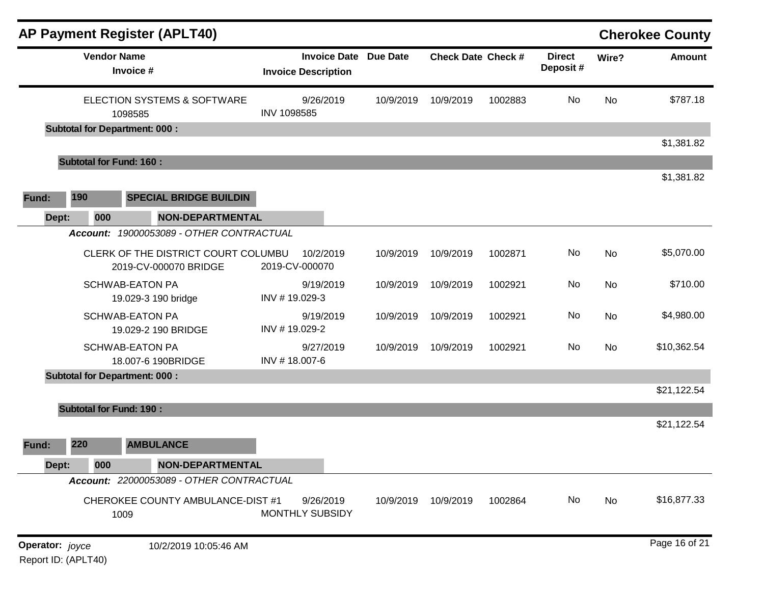|                 |                                | <b>AP Payment Register (APLT40)</b>                          |                                                            |           |                           |         |                           |           | <b>Cherokee County</b> |
|-----------------|--------------------------------|--------------------------------------------------------------|------------------------------------------------------------|-----------|---------------------------|---------|---------------------------|-----------|------------------------|
|                 | <b>Vendor Name</b>             | Invoice #                                                    | <b>Invoice Date Due Date</b><br><b>Invoice Description</b> |           | <b>Check Date Check #</b> |         | <b>Direct</b><br>Deposit# | Wire?     | <b>Amount</b>          |
|                 |                                | ELECTION SYSTEMS & SOFTWARE<br>1098585                       | 9/26/2019<br>INV 1098585                                   | 10/9/2019 | 10/9/2019                 | 1002883 | No                        | <b>No</b> | \$787.18               |
|                 |                                | <b>Subtotal for Department: 000:</b>                         |                                                            |           |                           |         |                           |           |                        |
|                 |                                |                                                              |                                                            |           |                           |         |                           |           | \$1,381.82             |
|                 | <b>Subtotal for Fund: 160:</b> |                                                              |                                                            |           |                           |         |                           |           |                        |
| Fund:           | 190                            | <b>SPECIAL BRIDGE BUILDIN</b>                                |                                                            |           |                           |         |                           |           | \$1,381.82             |
| Dept:           | 000                            | <b>NON-DEPARTMENTAL</b>                                      |                                                            |           |                           |         |                           |           |                        |
|                 | <b>Account:</b>                | 19000053089 - OTHER CONTRACTUAL                              |                                                            |           |                           |         |                           |           |                        |
|                 |                                | CLERK OF THE DISTRICT COURT COLUMBU<br>2019-CV-000070 BRIDGE | 10/2/2019<br>2019-CV-000070                                | 10/9/2019 | 10/9/2019                 | 1002871 | No                        | No        | \$5,070.00             |
|                 |                                | <b>SCHWAB-EATON PA</b><br>19.029-3 190 bridge                | 9/19/2019<br>INV #19.029-3                                 | 10/9/2019 | 10/9/2019                 | 1002921 | No                        | No        | \$710.00               |
|                 |                                | <b>SCHWAB-EATON PA</b><br>19.029-2 190 BRIDGE                | 9/19/2019<br>INV #19.029-2                                 | 10/9/2019 | 10/9/2019                 | 1002921 | No                        | No        | \$4,980.00             |
|                 |                                | <b>SCHWAB-EATON PA</b><br>18.007-6 190BRIDGE                 | 9/27/2019<br>INV #18.007-6                                 | 10/9/2019 | 10/9/2019                 | 1002921 | No                        | No        | \$10,362.54            |
|                 |                                | <b>Subtotal for Department: 000:</b>                         |                                                            |           |                           |         |                           |           |                        |
|                 |                                |                                                              |                                                            |           |                           |         |                           |           | \$21,122.54            |
|                 | <b>Subtotal for Fund: 190:</b> |                                                              |                                                            |           |                           |         |                           |           |                        |
| Fund:           | 220                            | <b>AMBULANCE</b>                                             |                                                            |           |                           |         |                           |           | \$21,122.54            |
| Dept:           | 000                            | <b>NON-DEPARTMENTAL</b>                                      |                                                            |           |                           |         |                           |           |                        |
|                 |                                | Account: 22000053089 - OTHER CONTRACTUAL                     |                                                            |           |                           |         |                           |           |                        |
|                 |                                | CHEROKEE COUNTY AMBULANCE-DIST #1<br>1009                    | 9/26/2019<br><b>MONTHLY SUBSIDY</b>                        | 10/9/2019 | 10/9/2019                 | 1002864 | No                        | No        | \$16,877.33            |
| Operator: joyce |                                | 10/2/2019 10:05:46 AM                                        |                                                            |           |                           |         |                           |           | Page 16 of 21          |

Report ID: (APLT40)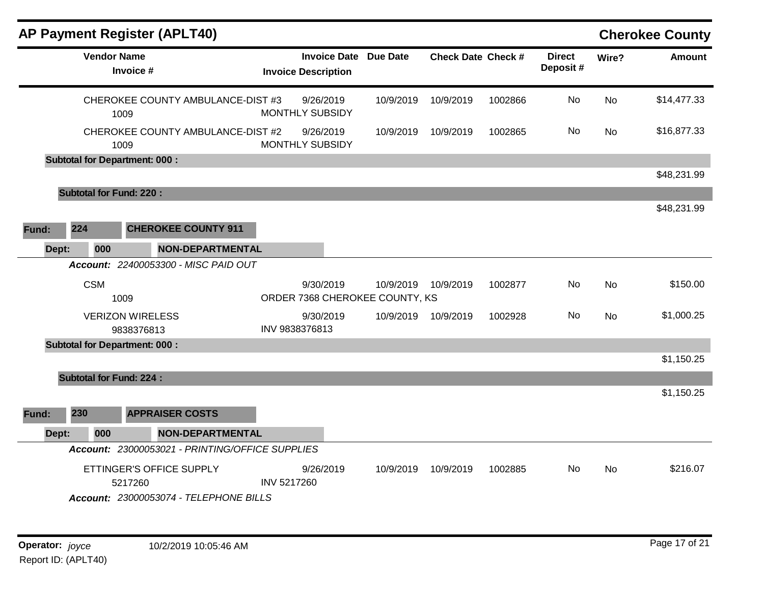| <b>Vendor Name</b><br>Invoice #<br>1009<br>1009<br><b>Subtotal for Department: 000:</b> | CHEROKEE COUNTY AMBULANCE-DIST #3<br>CHEROKEE COUNTY AMBULANCE-DIST #2<br><b>CHEROKEE COUNTY 911</b> | <b>Invoice Description</b><br>9/26/2019<br><b>MONTHLY SUBSIDY</b><br>9/26/2019<br>MONTHLY SUBSIDY | <b>Invoice Date Due Date</b> | 10/9/2019<br>10/9/2019 | <b>Check Date Check #</b><br>10/9/2019<br>10/9/2019 | 1002866<br>1002865 | <b>Direct</b><br>Deposit#<br>No<br>No | Wire?<br><b>No</b><br><b>No</b> | <b>Amount</b><br>\$14,477.33<br>\$16,877.33<br>\$48,231.99 |
|-----------------------------------------------------------------------------------------|------------------------------------------------------------------------------------------------------|---------------------------------------------------------------------------------------------------|------------------------------|------------------------|-----------------------------------------------------|--------------------|---------------------------------------|---------------------------------|------------------------------------------------------------|
|                                                                                         |                                                                                                      |                                                                                                   |                              |                        |                                                     |                    |                                       |                                 |                                                            |
|                                                                                         |                                                                                                      |                                                                                                   |                              |                        |                                                     |                    |                                       |                                 |                                                            |
|                                                                                         |                                                                                                      |                                                                                                   |                              |                        |                                                     |                    |                                       |                                 |                                                            |
|                                                                                         |                                                                                                      |                                                                                                   |                              |                        |                                                     |                    |                                       |                                 |                                                            |
|                                                                                         |                                                                                                      |                                                                                                   |                              |                        |                                                     |                    |                                       |                                 |                                                            |
| <b>Subtotal for Fund: 220:</b>                                                          |                                                                                                      |                                                                                                   |                              |                        |                                                     |                    |                                       |                                 |                                                            |
|                                                                                         |                                                                                                      |                                                                                                   |                              |                        |                                                     |                    |                                       |                                 | \$48,231.99                                                |
| 224<br>Fund:                                                                            |                                                                                                      |                                                                                                   |                              |                        |                                                     |                    |                                       |                                 |                                                            |
| 000<br>Dept:                                                                            | <b>NON-DEPARTMENTAL</b>                                                                              |                                                                                                   |                              |                        |                                                     |                    |                                       |                                 |                                                            |
|                                                                                         | Account: 22400053300 - MISC PAID OUT                                                                 |                                                                                                   |                              |                        |                                                     |                    |                                       |                                 |                                                            |
| <b>CSM</b><br>1009                                                                      |                                                                                                      | 9/30/2019<br>ORDER 7368 CHEROKEE COUNTY, KS                                                       |                              | 10/9/2019              | 10/9/2019                                           | 1002877            | No                                    | <b>No</b>                       | \$150.00                                                   |
| <b>VERIZON WIRELESS</b><br>9838376813                                                   |                                                                                                      | 9/30/2019<br>INV 9838376813                                                                       |                              | 10/9/2019              | 10/9/2019                                           | 1002928            | No                                    | <b>No</b>                       | \$1,000.25                                                 |
| <b>Subtotal for Department: 000:</b>                                                    |                                                                                                      |                                                                                                   |                              |                        |                                                     |                    |                                       |                                 |                                                            |
|                                                                                         |                                                                                                      |                                                                                                   |                              |                        |                                                     |                    |                                       |                                 | \$1,150.25                                                 |
| <b>Subtotal for Fund: 224:</b>                                                          |                                                                                                      |                                                                                                   |                              |                        |                                                     |                    |                                       |                                 |                                                            |
|                                                                                         |                                                                                                      |                                                                                                   |                              |                        |                                                     |                    |                                       |                                 | \$1,150.25                                                 |
| 230<br>Fund:                                                                            | <b>APPRAISER COSTS</b>                                                                               |                                                                                                   |                              |                        |                                                     |                    |                                       |                                 |                                                            |
| 000<br>Dept:                                                                            | <b>NON-DEPARTMENTAL</b>                                                                              |                                                                                                   |                              |                        |                                                     |                    |                                       |                                 |                                                            |
|                                                                                         | Account: 23000053021 - PRINTING/OFFICE SUPPLIES                                                      |                                                                                                   |                              |                        |                                                     |                    |                                       |                                 |                                                            |
| 5217260                                                                                 | ETTINGER'S OFFICE SUPPLY<br>Account: 23000053074 - TELEPHONE BILLS                                   | 9/26/2019<br>INV 5217260                                                                          |                              | 10/9/2019              | 10/9/2019                                           | 1002885            | No.                                   | No.                             | \$216.07                                                   |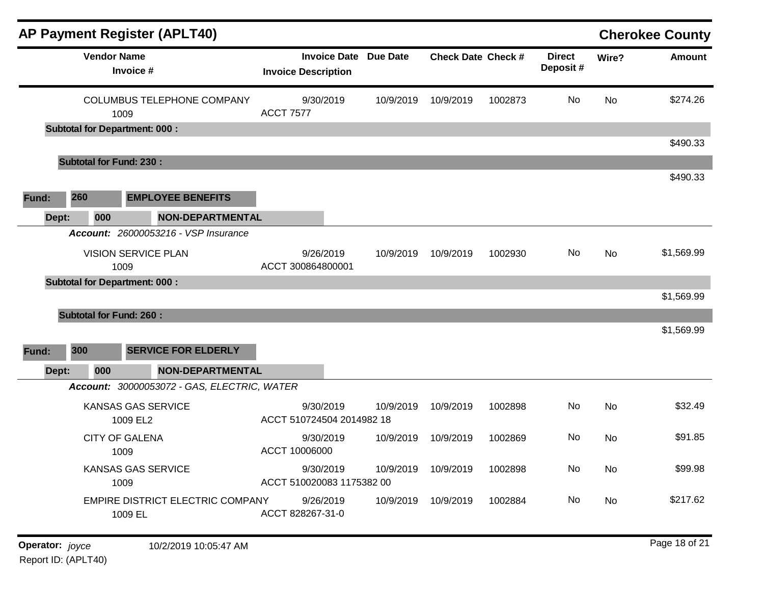|       |                                | <b>AP Payment Register (APLT40)</b>                                    |                   |                                                            |           |                           |         |                           |           | <b>Cherokee County</b> |
|-------|--------------------------------|------------------------------------------------------------------------|-------------------|------------------------------------------------------------|-----------|---------------------------|---------|---------------------------|-----------|------------------------|
|       | <b>Vendor Name</b>             | Invoice #                                                              |                   | <b>Invoice Date Due Date</b><br><b>Invoice Description</b> |           | <b>Check Date Check #</b> |         | <b>Direct</b><br>Deposit# | Wire?     | <b>Amount</b>          |
|       |                                | COLUMBUS TELEPHONE COMPANY<br>1009                                     | <b>ACCT 7577</b>  | 9/30/2019                                                  | 10/9/2019 | 10/9/2019                 | 1002873 | No                        | <b>No</b> | \$274.26               |
|       |                                | <b>Subtotal for Department: 000:</b>                                   |                   |                                                            |           |                           |         |                           |           | \$490.33               |
|       | <b>Subtotal for Fund: 230:</b> |                                                                        |                   |                                                            |           |                           |         |                           |           |                        |
|       |                                |                                                                        |                   |                                                            |           |                           |         |                           |           | \$490.33               |
| Fund: | 260                            | <b>EMPLOYEE BENEFITS</b>                                               |                   |                                                            |           |                           |         |                           |           |                        |
| Dept: | 000                            | NON-DEPARTMENTAL                                                       |                   |                                                            |           |                           |         |                           |           |                        |
|       |                                | Account: 26000053216 - VSP Insurance                                   |                   |                                                            |           |                           |         |                           |           |                        |
|       |                                | <b>VISION SERVICE PLAN</b><br>1009                                     | ACCT 300864800001 | 9/26/2019                                                  | 10/9/2019 | 10/9/2019                 | 1002930 | No                        | No        | \$1,569.99             |
|       |                                | <b>Subtotal for Department: 000:</b>                                   |                   |                                                            |           |                           |         |                           |           |                        |
|       |                                |                                                                        |                   |                                                            |           |                           |         |                           |           | \$1,569.99             |
|       | <b>Subtotal for Fund: 260:</b> |                                                                        |                   |                                                            |           |                           |         |                           |           | \$1,569.99             |
|       | 300                            | <b>SERVICE FOR ELDERLY</b>                                             |                   |                                                            |           |                           |         |                           |           |                        |
| Fund: |                                |                                                                        |                   |                                                            |           |                           |         |                           |           |                        |
| Dept: | 000                            | <b>NON-DEPARTMENTAL</b><br>Account: 30000053072 - GAS, ELECTRIC, WATER |                   |                                                            |           |                           |         |                           |           |                        |
|       |                                | <b>KANSAS GAS SERVICE</b>                                              |                   | 9/30/2019                                                  | 10/9/2019 | 10/9/2019                 | 1002898 | No                        | No        | \$32.49                |
|       |                                | 1009 EL2                                                               |                   | ACCT 510724504 2014982 18                                  |           |                           |         |                           |           |                        |
|       |                                | <b>CITY OF GALENA</b><br>1009                                          | ACCT 10006000     | 9/30/2019                                                  | 10/9/2019 | 10/9/2019                 | 1002869 | No                        | No        | \$91.85                |
|       |                                | <b>KANSAS GAS SERVICE</b><br>1009                                      |                   | 9/30/2019<br>ACCT 510020083 1175382 00                     |           | 10/9/2019 10/9/2019       | 1002898 | No                        | No        | \$99.98                |
|       |                                | EMPIRE DISTRICT ELECTRIC COMPANY<br>1009 EL                            | ACCT 828267-31-0  | 9/26/2019                                                  |           | 10/9/2019 10/9/2019       | 1002884 | No                        | No        | \$217.62               |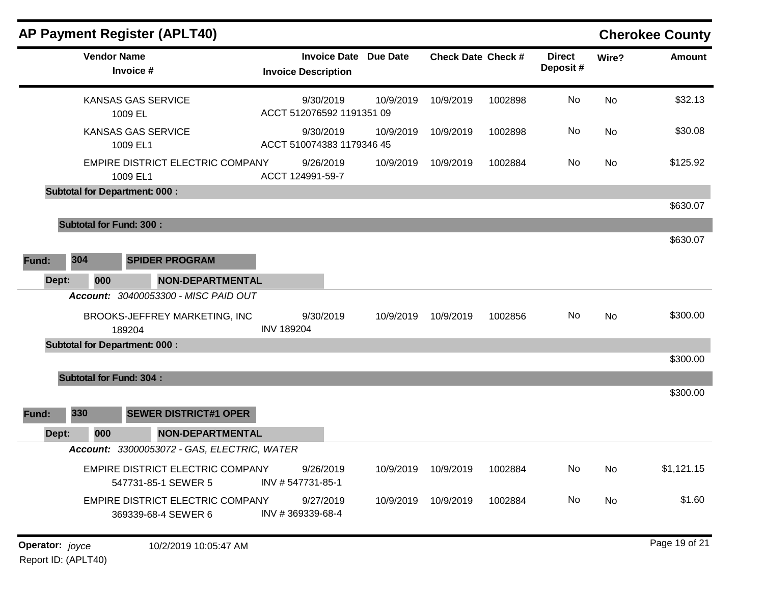|       |     |                    | <b>AP Payment Register (APLT40)</b>                            |                                        |                              |                           |         |                           |           | <b>Cherokee County</b> |
|-------|-----|--------------------|----------------------------------------------------------------|----------------------------------------|------------------------------|---------------------------|---------|---------------------------|-----------|------------------------|
|       |     | <b>Vendor Name</b> | Invoice #                                                      | <b>Invoice Description</b>             | <b>Invoice Date Due Date</b> | <b>Check Date Check #</b> |         | <b>Direct</b><br>Deposit# | Wire?     | <b>Amount</b>          |
|       |     |                    | <b>KANSAS GAS SERVICE</b><br>1009 EL                           | 9/30/2019<br>ACCT 512076592 1191351 09 | 10/9/2019                    | 10/9/2019                 | 1002898 | No                        | No        | \$32.13                |
|       |     |                    | <b>KANSAS GAS SERVICE</b><br>1009 EL1                          | 9/30/2019<br>ACCT 510074383 1179346 45 | 10/9/2019                    | 10/9/2019                 | 1002898 | <b>No</b>                 | <b>No</b> | \$30.08                |
|       |     |                    | EMPIRE DISTRICT ELECTRIC COMPANY<br>1009 EL1                   | 9/26/2019<br>ACCT 124991-59-7          | 10/9/2019                    | 10/9/2019                 | 1002884 | No.                       | No        | \$125.92               |
|       |     |                    | <b>Subtotal for Department: 000:</b>                           |                                        |                              |                           |         |                           |           | \$630.07               |
|       |     |                    |                                                                |                                        |                              |                           |         |                           |           |                        |
|       |     |                    | <b>Subtotal for Fund: 300:</b>                                 |                                        |                              |                           |         |                           |           | \$630.07               |
| Fund: | 304 |                    | <b>SPIDER PROGRAM</b>                                          |                                        |                              |                           |         |                           |           |                        |
| Dept: |     | 000                | <b>NON-DEPARTMENTAL</b>                                        |                                        |                              |                           |         |                           |           |                        |
|       |     |                    | Account: 30400053300 - MISC PAID OUT                           |                                        |                              |                           |         |                           |           |                        |
|       |     |                    | BROOKS-JEFFREY MARKETING, INC<br>189204                        | 9/30/2019<br><b>INV 189204</b>         | 10/9/2019                    | 10/9/2019                 | 1002856 | No                        | <b>No</b> | \$300.00               |
|       |     |                    | <b>Subtotal for Department: 000:</b>                           |                                        |                              |                           |         |                           |           |                        |
|       |     |                    |                                                                |                                        |                              |                           |         |                           |           | \$300.00               |
|       |     |                    | <b>Subtotal for Fund: 304:</b>                                 |                                        |                              |                           |         |                           |           |                        |
|       |     |                    |                                                                |                                        |                              |                           |         |                           |           | \$300.00               |
| Fund: | 330 |                    | <b>SEWER DISTRICT#1 OPER</b>                                   |                                        |                              |                           |         |                           |           |                        |
| Dept: |     | 000                | <b>NON-DEPARTMENTAL</b>                                        |                                        |                              |                           |         |                           |           |                        |
|       |     |                    | Account: 33000053072 - GAS, ELECTRIC, WATER                    |                                        |                              |                           |         |                           |           |                        |
|       |     |                    | <b>EMPIRE DISTRICT ELECTRIC COMPANY</b><br>547731-85-1 SEWER 5 | 9/26/2019<br>INV #547731-85-1          | 10/9/2019                    | 10/9/2019                 | 1002884 | No                        | No        | \$1,121.15             |
|       |     |                    | EMPIRE DISTRICT ELECTRIC COMPANY<br>369339-68-4 SEWER 6        | 9/27/2019<br>INV #369339-68-4          | 10/9/2019                    | 10/9/2019                 | 1002884 | No                        | No        | \$1.60                 |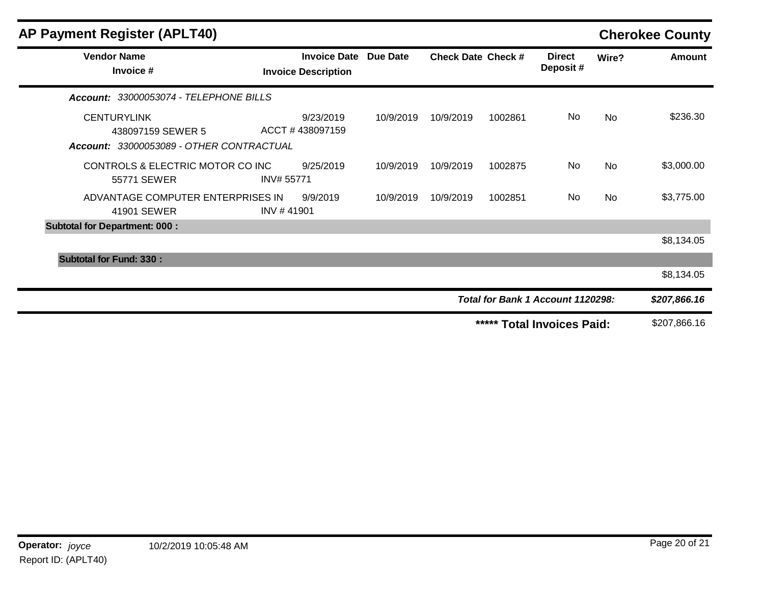| <b>AP Payment Register (APLT40)</b>                                                 |                                                            |           |                           |         |                                   |           | <b>Cherokee County</b> |
|-------------------------------------------------------------------------------------|------------------------------------------------------------|-----------|---------------------------|---------|-----------------------------------|-----------|------------------------|
| <b>Vendor Name</b><br>Invoice #                                                     | <b>Invoice Date Due Date</b><br><b>Invoice Description</b> |           | <b>Check Date Check #</b> |         | <b>Direct</b><br>Deposit#         | Wire?     | <b>Amount</b>          |
| Account: 33000053074 - TELEPHONE BILLS                                              |                                                            |           |                           |         |                                   |           |                        |
| <b>CENTURYLINK</b><br>438097159 SEWER 5<br>Account: 33000053089 - OTHER CONTRACTUAL | 9/23/2019<br>ACCT #438097159                               | 10/9/2019 | 10/9/2019                 | 1002861 | No                                | No        | \$236.30               |
| CONTROLS & ELECTRIC MOTOR CO INC<br>55771 SEWER                                     | 9/25/2019<br>INV# 55771                                    | 10/9/2019 | 10/9/2019                 | 1002875 | No                                | <b>No</b> | \$3,000.00             |
| ADVANTAGE COMPUTER ENTERPRISES IN<br>41901 SEWER                                    | 9/9/2019<br>INV #41901                                     | 10/9/2019 | 10/9/2019                 | 1002851 | No                                | No        | \$3,775.00             |
| <b>Subtotal for Department: 000:</b>                                                |                                                            |           |                           |         |                                   |           |                        |
|                                                                                     |                                                            |           |                           |         |                                   |           | \$8,134.05             |
| <b>Subtotal for Fund: 330:</b>                                                      |                                                            |           |                           |         |                                   |           |                        |
|                                                                                     |                                                            |           |                           |         |                                   |           | \$8,134.05             |
|                                                                                     |                                                            |           |                           |         | Total for Bank 1 Account 1120298: |           | \$207,866.16           |
|                                                                                     |                                                            |           |                           |         | ***** Total Invoices Paid:        |           | \$207,866.16           |